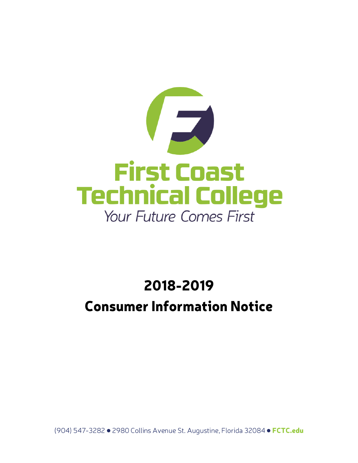

# 2018-2019 **Consumer Information Notice**

(904) 547-3282 · 2980 Collins Avenue St. Augustine, Florida 32084 · FCTC.edu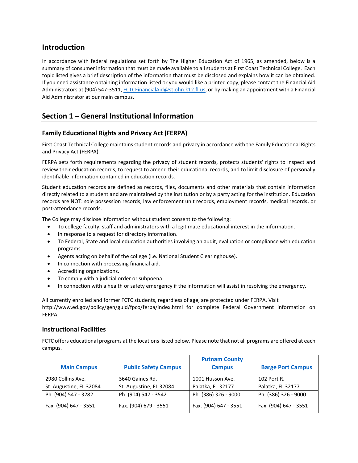# **Introduction**

In accordance with federal regulations set forth by The Higher Education Act of 1965, as amended, below is a summary of consumer information that must be made available to all students at First Coast Technical College. Each topic listed gives a brief description of the information that must be disclosed and explains how it can be obtained. If you need assistance obtaining information listed or you would like a printed copy, please contact the Financial Aid Administrators at (904) 547-3511[, FCTCFinancialAid@stjohn.k12.fl.us,](mailto:FCTCFinancialAid@stjohn.k12.fl.us) or by making an appointment with a Financial Aid Administrator at our main campus.

# **Section 1 – General Institutional Information**

# **Family Educational Rights and Privacy Act (FERPA)**

First Coast Technical College maintains student records and privacy in accordance with the Family Educational Rights and Privacy Act (FERPA).

FERPA sets forth requirements regarding the privacy of student records, protects students' rights to inspect and review their education records, to request to amend their educational records, and to limit disclosure of personally identifiable information contained in education records.

Student education records are defined as records, files, documents and other materials that contain information directly related to a student and are maintained by the institution or by a party acting for the institution. Education records are NOT: sole possession records, law enforcement unit records, employment records, medical records, or post-attendance records.

The College may disclose information without student consent to the following:

- To college faculty, staff and administrators with a legitimate educational interest in the information.
- In response to a request for directory information.
- To Federal, State and local education authorities involving an audit, evaluation or compliance with education programs.
- Agents acting on behalf of the college (i.e. National Student Clearinghouse).
- In connection with processing financial aid.
- Accrediting organizations.
- To comply with a judicial order or subpoena.
- In connection with a health or safety emergency if the information will assist in resolving the emergency.

All currently enrolled and former FCTC students, regardless of age, are protected under FERPA. Visit http://www.ed.gov/policy/gen/guid/fpco/ferpa/index.html for complete Federal Government information on FERPA.

# **Instructional Facilities**

FCTC offers educational programs at the locations listed below. Please note that not all programs are offered at each campus.

| <b>Main Campus</b>      | <b>Public Safety Campus</b> | <b>Putnam County</b><br><b>Campus</b> | <b>Barge Port Campus</b> |
|-------------------------|-----------------------------|---------------------------------------|--------------------------|
| 2980 Collins Ave.       | 3640 Gaines Rd.             | 1001 Husson Ave.                      | 102 Port R.              |
| St. Augustine, FL 32084 | St. Augustine, FL 32084     | Palatka, FL 32177                     | Palatka, FL 32177        |
| Ph. (904) 547 - 3282    | Ph. (904) 547 - 3542        | Ph. (386) 326 - 9000                  | Ph. (386) 326 - 9000     |
| Fax. (904) 647 - 3551   | Fax. (904) 679 - 3551       | Fax. (904) 647 - 3551                 | Fax. (904) 647 - 3551    |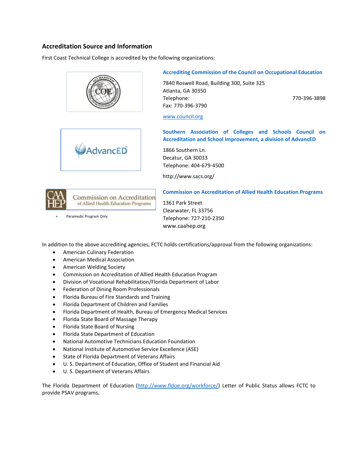# **Accreditation Source and Information**

First Coast Technical College is accredited by the following organizations:





# **Accrediting Commission of the Council on Occupational Education**

7840 Roswell Road, Building 300, Suite 325 Atlanta, GA 30350 Telephone: 770-396-3898 Fax: 770-396-3790

#### [www.council.org](http://www.council.org/)

**Southern Association of Colleges and Schools Council on Accreditation and School Improvement, a division of AdvancED**

1866 Southern Ln. Decatur, GA 30033 Telephone: 404-679-4500

<http://www.sacs.org/>



Paramedic Program Only

#### **Commission on Accreditation of Allied Health Education Programs**

1361 Park Street Clearwater, FL 33756 Telephone: 727-210-2350 www.caahep.org

In addition to the above accrediting agencies, FCTC holds certifications/approval from the following organizations:

- American Culinary Federation
- American Medical Association
- American Welding Society
- Commission on Accreditation of Allied Health Education Program
- Division of Vocational Rehabilitation/Florida Department of Labor
- **•** Federation of Dining Room Professionals
- Florida Bureau of Fire Standards and Training
- Florida Department of Children and Families
- Florida Department of Health, Bureau of Emergency Medical Services
- Florida State Board of Massage Therapy
- Florida State Board of Nursing
- Florida State Department of Education
- National Automotive Technicians Education Foundation
- National Institute of Automotive Service Excellence (ASE)
- State of Florida Department of Veterans Affairs
- U. S. Department of Education, Office of Student and Financial Aid
- U. S. Department of Veterans Affairs

The Florida Department of Education [\(http://www.fldoe.org/workforce/\)](http://www.fldoe.org/workforce/) Letter of Public Status allows FCTC to provide PSAV programs.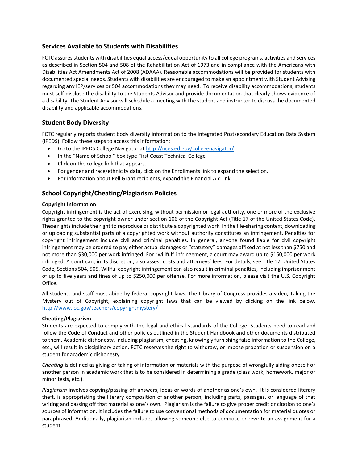# **Services Available to Students with Disabilities**

FCTC assures students with disabilities equal access/equal opportunity to all college programs, activities and services as described in Section 504 and 508 of the Rehabilitation Act of 1973 and in compliance with the Americans with Disabilities Act Amendments Act of 2008 (ADAAA). Reasonable accommodations will be provided for students with documented special needs. Students with disabilities are encouraged to make an appointment with Student Advising regarding any IEP/services or 504 accommodations they may need. To receive disability accommodations, students must self-disclose the disability to the Students Advisor and provide documentation that clearly shows evidence of a disability. The Student Advisor will schedule a meeting with the student and instructor to discuss the documented disability and applicable accommodations.

# **Student Body Diversity**

FCTC regularly reports student body diversity information to the Integrated Postsecondary Education Data System (IPEDS). Follow these steps to access this information:

- Go to the IPEDS College Navigator a[t http://nces.ed.gov/collegenavigator/](http://nces.ed.gov/collegenavigator/)
- In the "Name of School" box type First Coast Technical College
- Click on the college link that appears.
- For gender and race/ethnicity data, click on the Enrollments link to expand the selection.
- For information about Pell Grant recipients, expand the Financial Aid link.

# **School Copyright/Cheating/Plagiarism Policies**

#### **Copyright Information**

Copyright infringement is the act of exercising, without permission or legal authority, one or more of the exclusive rights granted to the copyright owner under section 106 of the Copyright Act (Title 17 of the United States Code). These rights include the right to reproduce or distribute a copyrighted work. In the file-sharing context, downloading or uploading substantial parts of a copyrighted work without authority constitutes an infringement. Penalties for copyright infringement include civil and criminal penalties. In general, anyone found liable for civil copyright infringement may be ordered to pay either actual damages or "statutory" damages affixed at not less than \$750 and not more than \$30,000 per work infringed. For "willful" infringement, a court may award up to \$150,000 per work infringed. A court can, in its discretion, also assess costs and attorneys' fees. For details, see Title 17, United States Code, Sections 504, 505. Willful copyright infringement can also result in criminal penalties, including imprisonment of up to five years and fines of up to \$250,000 per offense. For more information, please visit the U.S. Copyright Office.

All students and staff must abide by federal copyright laws. The Library of Congress provides a video, Taking the Mystery out of Copyright, explaining copyright laws that can be viewed by clicking on the link below. <http://www.loc.gov/teachers/copyrightmystery/>

#### **Cheating/Plagiarism**

Students are expected to comply with the legal and ethical standards of the College. Students need to read and follow the Code of Conduct and other policies outlined in the Student Handbook and other documents distributed to them. Academic dishonesty, including plagiarism, cheating, knowingly furnishing false information to the College, etc., will result in disciplinary action. FCTC reserves the right to withdraw, or impose probation or suspension on a student for academic dishonesty.

*Cheating* is defined as giving or taking of information or materials with the purpose of wrongfully aiding oneself or another person in academic work that is to be considered in determining a grade (class work, homework, major or minor tests, etc.).

*Plagiarism* involves copying/passing off answers, ideas or words of another as one's own. It is considered literary theft, is appropriating the literary composition of another person, including parts, passages, or language of that writing and passing off that material as one's own. Plagiarism is the failure to give proper credit or citation to one's sources of information. It includes the failure to use conventional methods of documentation for material quotes or paraphrased. Additionally, plagiarism includes allowing someone else to compose or rewrite an assignment for a student.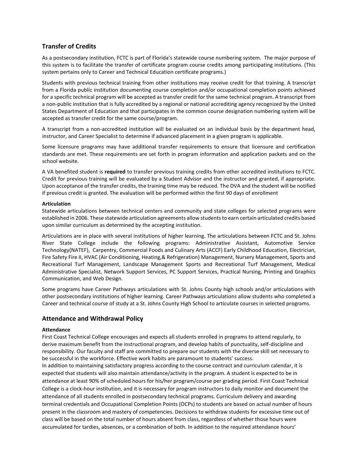# **Transfer of Credits**

As a postsecondary institution, FCTC is part of Florida's statewide course numbering system. The major purpose of this system is to facilitate the transfer of certificate program course credits among participating institutions. (This system pertains only to Career and Technical Education certificate programs.)

Students with previous technical training from other institutions may receive credit for that training. A transcript from a Florida public institution documenting course completion and/or occupational completion points achieved for a specific technical program will be accepted as transfer credit for the same technical program. A transcript from a non-public institution that is fully accredited by a regional or national accrediting agency recognized by the United States Department of Education and that participates in the common course designation numbering system will be accepted as transfer credit for the same course/program.

A transcript from a non-accredited institution will be evaluated on an individual basis by the department head, instructor, and Career Specialist to determine if advanced placement in a given program is applicable.

Some licensure programs may have additional transfer requirements to ensure that licensure and certification standards are met. These requirements are set forth in program information and application packets and on the school website.

A VA benefited student is **required** to transfer previous training credits from other accredited institutions to FCTC. Credit for previous training will be evaluated by a Student Advisor and the instructor and granted, if appropriate. Upon acceptance of the transfer credits, the training time may be reduced. The DVA and the student will be notified if previous credit is granted. The evaluation will be performed within the first 90 days of enrollment

#### **Articulation**

Statewide articulations between technical centers and community and state colleges for selected programs were established in 2006. These statewide articulation agreements allow students to earn certain articulated credits based upon similar curriculum as determined by the accepting institution.

Articulations are in place with several institutions of higher learning. The articulations between FCTC and St. Johns River State College include the following programs: Administrative Assistant, Automotive Service Technology(NATEF), Carpentry, Commercial Foods and Culinary Arts (ACCF) Early Childhood Education, Electrician, Fire Safety Fire II, HVAC (Air Conditioning, Heating,& Refrigeration) Management, Nursery Management, Sports and Recreational Turf Management, Landscape Management Sports and Recreational Turf Management, Medical Administrative Specialist, Network Support Services, PC Support Services, Practical Nursing, Printing and Graphics Communication, and Web Design.

Some programs have Career Pathways articulations with St. Johns County high schools and/or articulations with other postsecondary institutions of higher learning. Career Pathways articulations allow students who completed a Career and technical course of study at a St. Johns County High School to articulate courses in selected programs.

# **Attendance and Withdrawal Policy**

#### **Attendance**

First Coast Technical College encourages and expects all students enrolled in programs to attend regularly, to derive maximum benefit from the instructional program, and develop habits of punctuality, self-discipline and responsibility. Our faculty and staff are committed to prepare our students with the diverse skill set necessary to be successful in the workforce. Effective work habits are paramount to students' success.

In addition to maintaining satisfactory progress according to the course contract and curriculum calendar, it is expected that students will also maintain attendance/activity in the program. A student is expected to be in attendance at least 90% of scheduled hours for his/her program/course per grading period. First Coast Technical College is a clock-hour institution, and it is necessary for program instructors to daily monitor and document the attendance of all students enrolled in postsecondary technical programs. Curriculum delivery and awarding terminal credentials and Occupational Completion Points (OCPs) to students are based on actual number of hours present in the classroom and mastery of competencies. Decisions to withdraw students for excessive time out of class will be based on the total number of hours absent from class, regardless of whether those hours were accumulated for tardies, absences, or a combination of both. In addition to the required attendance hours'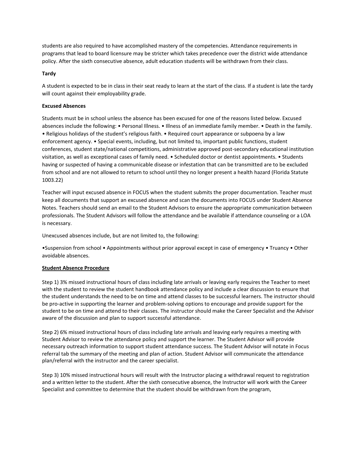students are also required to have accomplished mastery of the competencies. Attendance requirements in programs that lead to board licensure may be stricter which takes precedence over the district wide attendance policy. After the sixth consecutive absence, adult education students will be withdrawn from their class.

#### **Tardy**

A student is expected to be in class in their seat ready to learn at the start of the class. If a student is late the tardy will count against their employability grade.

#### **Excused Absences**

Students must be in school unless the absence has been excused for one of the reasons listed below. Excused absences include the following: • Personal Illness. • Illness of an immediate family member. • Death in the family. • Religious holidays of the student's religious faith. • Required court appearance or subpoena by a law enforcement agency. • Special events, including, but not limited to, important public functions, student conferences, student state/national competitions, administrative approved post-secondary educational institution visitation, as well as exceptional cases of family need. • Scheduled doctor or dentist appointments. • Students having or suspected of having a communicable disease or infestation that can be transmitted are to be excluded from school and are not allowed to return to school until they no longer present a health hazard (Florida Statute 1003.22)

Teacher will input excused absence in FOCUS when the student submits the proper documentation. Teacher must keep all documents that support an excused absence and scan the documents into FOCUS under Student Absence Notes. Teachers should send an email to the Student Advisors to ensure the appropriate communication between professionals. The Student Advisors will follow the attendance and be available if attendance counseling or a LOA is necessary.

Unexcused absences include, but are not limited to, the following:

•Suspension from school • Appointments without prior approval except in case of emergency • Truancy • Other avoidable absences.

#### **Student Absence Procedure**

Step 1) 3% missed instructional hours of class including late arrivals or leaving early requires the Teacher to meet with the student to review the student handbook attendance policy and include a clear discussion to ensure that the student understands the need to be on time and attend classes to be successful learners. The instructor should be pro-active in supporting the learner and problem-solving options to encourage and provide support for the student to be on time and attend to their classes. The instructor should make the Career Specialist and the Advisor aware of the discussion and plan to support successful attendance.

Step 2) 6% missed instructional hours of class including late arrivals and leaving early requires a meeting with Student Advisor to review the attendance policy and support the learner. The Student Advisor will provide necessary outreach information to support student attendance success. The Student Advisor will notate in Focus referral tab the summary of the meeting and plan of action. Student Advisor will communicate the attendance plan/referral with the instructor and the career specialist.

Step 3) 10% missed instructional hours will result with the Instructor placing a withdrawal request to registration and a written letter to the student. After the sixth consecutive absence, the Instructor will work with the Career Specialist and committee to determine that the student should be withdrawn from the program,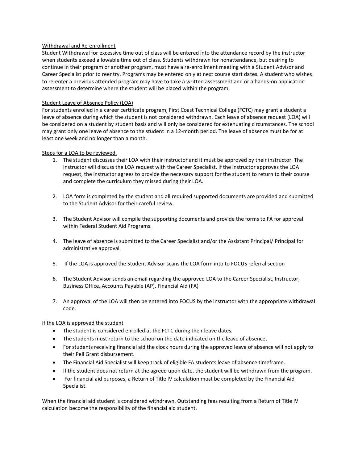#### Withdrawal and Re-enrollment

Student Withdrawal for excessive time out of class will be entered into the attendance record by the instructor when students exceed allowable time out of class. Students withdrawn for nonattendance, but desiring to continue in their program or another program, must have a re-enrollment meeting with a Student Advisor and Career Specialist prior to reentry. Programs may be entered only at next course start dates. A student who wishes to re-enter a previous attended program may have to take a written assessment and or a hands-on application assessment to determine where the student will be placed within the program.

#### Student Leave of Absence Policy (LOA)

For students enrolled in a career certificate program, First Coast Technical College (FCTC) may grant a student a leave of absence during which the student is not considered withdrawn. Each leave of absence request (LOA) will be considered on a student by student basis and will only be considered for extenuating circumstances. The school may grant only one leave of absence to the student in a 12-month period. The leave of absence must be for at least one week and no longer than a month.

#### Steps for a LOA to be reviewed.

- 1. The student discusses their LOA with their instructor and it must be approved by their instructor. The Instructor will discuss the LOA request with the Career Specialist. If the instructor approves the LOA request, the instructor agrees to provide the necessary support for the student to return to their course and complete the curriculum they missed during their LOA.
- 2. LOA form is completed by the student and all required supported documents are provided and submitted to the Student Advisor for their careful review.
- 3. The Student Advisor will compile the supporting documents and provide the forms to FA for approval within Federal Student Aid Programs.
- 4. The leave of absence is submitted to the Career Specialist and/or the Assistant Principal/ Principal for administrative approval.
- 5. If the LOA is approved the Student Advisor scans the LOA form into to FOCUS referral section
- 6. The Student Advisor sends an email regarding the approved LOA to the Career Specialist, Instructor, Business Office, Accounts Payable (AP), Financial Aid (FA)
- 7. An approval of the LOA will then be entered into FOCUS by the instructor with the appropriate withdrawal code.

#### If the LOA is approved the student

- The student is considered enrolled at the FCTC during their leave dates.
- The students must return to the school on the date indicated on the leave of absence.
- For students receiving financial aid the clock hours during the approved leave of absence will not apply to their Pell Grant disbursement.
- The Financial Aid Specialist will keep track of eligible FA students leave of absence timeframe.
- If the student does not return at the agreed upon date, the student will be withdrawn from the program.
- For financial aid purposes, a Return of Title IV calculation must be completed by the Financial Aid Specialist.

When the financial aid student is considered withdrawn. Outstanding fees resulting from a Return of Title IV calculation become the responsibility of the financial aid student.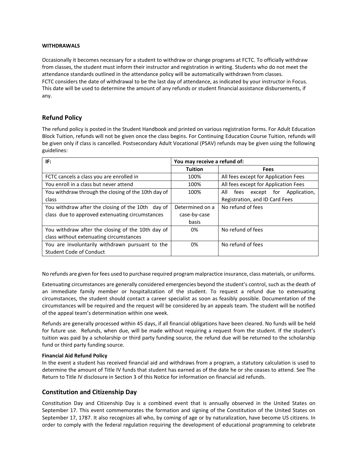#### **WITHDRAWALS**

Occasionally it becomes necessary for a student to withdraw or change programs at FCTC. To officially withdraw from classes, the student must inform their instructor and registration in writing. Students who do not meet the attendance standards outlined in the attendance policy will be automatically withdrawn from classes. FCTC considers the date of withdrawal to be the last day of attendance, as indicated by your instructor in Focus. This date will be used to determine the amount of any refunds or student financial assistance disbursements, if any.

# **Refund Policy**

The refund policy is posted in the Student Handbook and printed on various registration forms. For Adult Education Block Tuition, refunds will not be given once the class begins. For Continuing Education Course Tuition, refunds will be given only if class is cancelled. Postsecondary Adult Vocational (PSAV) refunds may be given using the following guidelines:

| IF:                                                 | You may receive a refund of: |                                           |  |  |
|-----------------------------------------------------|------------------------------|-------------------------------------------|--|--|
|                                                     | <b>Tuition</b>               | <b>Fees</b>                               |  |  |
| FCTC cancels a class you are enrolled in            | 100%                         | All fees except for Application Fees      |  |  |
| You enroll in a class but never attend              | 100%                         | All fees except for Application Fees      |  |  |
| You withdraw through the closing of the 10th day of | 100%                         | All<br>except for<br>Application,<br>fees |  |  |
| class                                               |                              | Registration, and ID Card Fees            |  |  |
| You withdraw after the closing of the 10th day of   | Determined on a              | No refund of fees                         |  |  |
| class due to approved extenuating circumstances     | case-by-case                 |                                           |  |  |
|                                                     | basis                        |                                           |  |  |
| You withdraw after the closing of the 10th day of   | 0%                           | No refund of fees                         |  |  |
| class without extenuating circumstances             |                              |                                           |  |  |
| You are involuntarily withdrawn pursuant to the     | 0%                           | No refund of fees                         |  |  |
| Student Code of Conduct                             |                              |                                           |  |  |

No refunds are given for fees used to purchase required program malpractice insurance, class materials, or uniforms.

Extenuating circumstances are generally considered emergencies beyond the student's control, such as the death of an immediate family member or hospitalization of the student. To request a refund due to extenuating circumstances, the student should contact a career specialist as soon as feasibly possible. Documentation of the circumstances will be required and the request will be considered by an appeals team. The student will be notified of the appeal team's determination within one week.

Refunds are generally processed within 45 days, if all financial obligations have been cleared. No funds will be held for future use. Refunds, when due, will be made without requiring a request from the student. If the student's tuition was paid by a scholarship or third party funding source, the refund due will be returned to the scholarship fund or third party funding source.

#### **Financial Aid Refund Policy**

In the event a student has received financial aid and withdraws from a program, a statutory calculation is used to determine the amount of Title IV funds that student has earned as of the date he or she ceases to attend. See The Return to Title IV disclosure in Section 3 of this Notice for information on financial aid refunds.

# **Constitution and Citizenship Day**

Constitution Day and Citizenship Day is a combined event that is annually observed in the United States on September 17. This event commemorates the formation and signing of the Constitution of the United States on September 17, 1787. It also recognizes all who, by coming of age or by naturalization, have become US citizens. In order to comply with the federal regulation requiring the development of educational programming to celebrate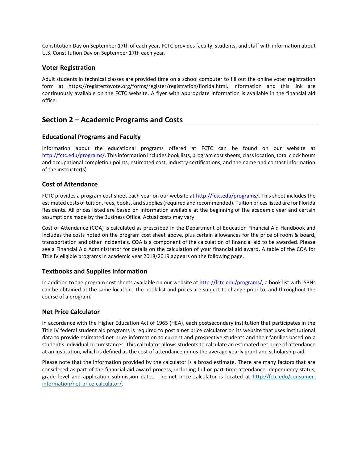Constitution Day on September 17th of each year, FCTC provides faculty, students, and staff with information about U.S. Constitution Day on September 17th each year.

## **Voter Registration**

Adult students in technical classes are provided time on a school computer to fill out the online voter registration form at https://registertovote.org/forms/register/registration/florida.html. Information and this link are continuously available on the FCTC website. A flyer with appropriate information is available in the financial aid office.

# **Section 2 – Academic Programs and Costs**

# **Educational Programs and Faculty**

Information about the educational programs offered at FCTC can be found on our website at [http://fctc.edu/programs/.](http://fctc.edu/programs/) This information includes book lists, program cost sheets, class location, total clock hours and occupational completion points, estimated cost, industry certifications, and the name and contact information of the instructor(s).

# **Cost of Attendance**

FCTC provides a program cost sheet each year on our website at [http://fctc.edu/programs/.](http://fctc.edu/programs/) This sheet includes the estimated costs of tuition, fees, books, and supplies (required and recommended). Tuition prices listed are for Florida Residents. All prices listed are based on information available at the beginning of the academic year and certain assumptions made by the Business Office. Actual costs may vary.

Cost of Attendance (COA) is calculated as prescribed in the Department of Education Financial Aid Handbook and includes the costs noted on the program cost sheet above, plus certain allowances for the price of room & board, transportation and other incidentals. COA is a component of the calculation of financial aid to be awarded. Please see a Financial Aid Administrator for details on the calculation of your financial aid award. A table of the COA for Title IV eligible programs in academic year 2018/2019 appears on the following page.

# **Textbooks and Supplies Information**

In addition to the program cost sheets available on our website at [http://fctc.edu/programs/,](http://fctc.edu/programs/) a book list with ISBNs can be obtained at the same location. The book list and prices are subject to change prior to, and throughout the course of a program.

#### **Net Price Calculator**

In accordance with the Higher Education Act of 1965 (HEA), each postsecondary institution that participates in the Title IV federal student aid programs is required to post a net price calculator on its website that uses institutional data to provide estimated net price information to current and prospective students and their families based on a student's individual circumstances. This calculator allows students to calculate an estimated net price of attendance at an institution, which is defined as the cost of attendance minus the average yearly grant and scholarship aid.

Please note that the information provided by the calculator is a broad estimate. There are many factors that are considered as part of the financial aid award process, including full or part-time attendance, dependency status, grade level and application submission dates. The net price calculator is located at [http://fctc.edu/consumer](http://fctc.edu/consumer-information/net-price-calculator/)[information/net-price-calculator/.](http://fctc.edu/consumer-information/net-price-calculator/)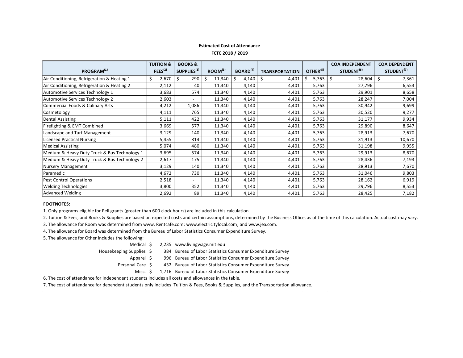#### **Estimated Cost of Attendance FCTC 2018 / 2019**

|                                              | <b>TUITION &amp;</b> | <b>BOOKS &amp;</b>       |                     |                             |                       |                      | <b>COA INDEPENDENT</b> | <b>COA DEPENDENT</b>   |
|----------------------------------------------|----------------------|--------------------------|---------------------|-----------------------------|-----------------------|----------------------|------------------------|------------------------|
| PROGRAM <sup>(1)</sup>                       | FEES <sup>(2)</sup>  | SUPPLIES <sup>(2)</sup>  | ROOM <sup>(3)</sup> | <b>BOARD</b> <sup>(4)</sup> | <b>TRANSPORTATION</b> | OTHER <sup>(5)</sup> | STUDENT <sup>(6)</sup> | STUDENT <sup>(7)</sup> |
| Air Conditioning, Refrigeration & Heating 1  | 2,670                | 290<br>\$                | Ś<br>11,340         | \$<br>4,140                 | 4,401<br>S            | \$<br>5,763          | -\$<br>28,604          | 7,361<br>Ś.            |
| Air Conditioning, Refrigeration & Heating 2  | 2,112                | 40                       | 11,340              | 4,140                       | 4,401                 | 5,763                | 27,796                 | 6,553                  |
| Automotive Services Technology 1             | 3,683                | 574                      | 11,340              | 4,140                       | 4,401                 | 5,763                | 29,901                 | 8,658                  |
| Automotive Services Technology 2             | 2,603                |                          | 11,340              | 4,140                       | 4,401                 | 5,763                | 28,247                 | 7,004                  |
| Commercial Foods & Culinary Arts             | 4,212                | 1,086                    | 11,340              | 4,140                       | 4,401                 | 5,763                | 30,942                 | 9,699                  |
| Cosmetology                                  | 4,111                | 765                      | 11,340              | 4,140                       | 4,401                 | 5,763                | 30,520                 | 9,277                  |
| Dental Assisting                             | 5,111                | 422                      | 11,340              | 4,140                       | 4,401                 | 5,763                | 31,177                 | 9,934                  |
| Firefighting & EMT Combined                  | 3,669                | 577                      | 11,340              | 4,140                       | 4,401                 | 5,763                | 29,890                 | 8,647                  |
| Landscape and Turf Management                | 3,129                | 140                      | 11,340              | 4,140                       | 4,401                 | 5,763                | 28,913                 | 7,670                  |
| Licensed Practical Nursing                   | 5,455                | 814                      | 11,340              | 4,140                       | 4,401                 | 5,763                | 31,913                 | 10,670                 |
| <b>Medical Assisting</b>                     | 5,074                | 480                      | 11,340              | 4,140                       | 4,401                 | 5,763                | 31,198                 | 9,955                  |
| Medium & Heavy Duty Truck & Bus Technology 1 | 3,695                | 574                      | 11,340              | 4,140                       | 4,401                 | 5,763                | 29,913                 | 8,670                  |
| Medium & Heavy Duty Truck & Bus Technology 2 | 2,617                | 175                      | 11,340              | 4,140                       | 4,401                 | 5,763                | 28,436                 | 7,193                  |
| Nursery Management                           | 3,129                | 140                      | 11,340              | 4,140                       | 4,401                 | 5,763                | 28,913                 | 7,670                  |
| Paramedic                                    | 4,672                | 730                      | 11,340              | 4,140                       | 4,401                 | 5,763                | 31,046                 | 9,803                  |
| <b>Pest Control Operations</b>               | 2,518                | $\overline{\phantom{a}}$ | 11,340              | 4,140                       | 4,401                 | 5,763                | 28,162                 | 6,919                  |
| <b>Welding Technologies</b>                  | 3,800                | 352                      | 11,340              | 4,140                       | 4,401                 | 5,763                | 29,796                 | 8,553                  |
| <b>Advanced Welding</b>                      | 2,692                | 89                       | 11,340              | 4,140                       | 4,401                 | 5,763                | 28,425                 | 7,182                  |

#### **FOOTNOTES:**

1. Only programs eligible for Pell grants (greater than 600 clock hours) are included in this calculation.

2. Tuition & Fees, and Books & Supplies are based on expected costs and certain assumptions, determined by the Business Office, as of the time of this calculation. Actual cost may vary.

3. The allowance for Room was determined from www. Rentcafe.com; www.electricitylocal.com; and www.jea.com.

4. The allowance for Board was determined from the Bureau of Labor Statistics Consumer Expenditure Survey.

5. The allowance for Other includes the following:

Medical \$ 2,235 www.livingwage.mit.edu

Housekeeping Supplies \$ 384 Bureau of Labor Statistics Consumer Expenditure Survey

Apparel  $\zeta$  996 Bureau of Labor Statistics Consumer Expenditure Survey

Personal Care \$ 432 Bureau of Labor Statistics Consumer Expenditure Survey

Misc.  $\zeta$  1,716 Bureau of Labor Statistics Consumer Expenditure Survey

6. The cost of attendance for independent students includes all costs and allowances in the table.

7. The cost of attendance for dependent students only includes Tuition & Fees, Books & Supplies, and the Transportation allowance.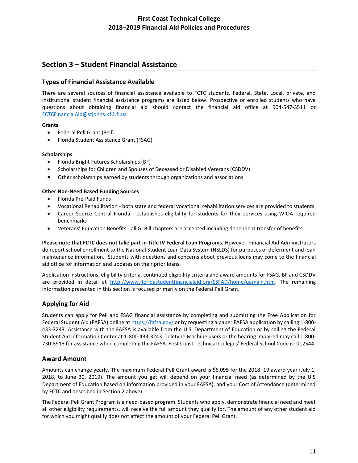# **First Coast Technical College 2018**–**2019 Financial Aid Policies and Procedures**

# **Section 3 – Student Financial Assistance**

# **Types of Financial Assistance Available**

There are several sources of financial assistance available to FCTC students. Federal, State, Local, private, and institutional student financial assistance programs are listed below. Prospective or enrolled students who have questions about obtaining financial aid should contact the financial aid office at 904-547-3511 or [FCTCFinancialAid@stjohns.k12.fl.us.](mailto:FCTCFinancialAid@stjohns.k12.fl.us) 

#### **Grants**

- Federal Pell Grant (Pell)
- Florida Student Assistance Grant (FSAG)

#### **Scholarships**

- Florida Bright Futures Scholarships (BF)
- Scholarships for Children and Spouses of Deceased or Disabled Veterans (CSDDV)
- Other scholarships earned by students through organizations and associations

## **Other Non-Need Based Funding Sources**

- Florida Pre-Paid Funds
- Vocational Rehabilitation both state and federal vocational rehabilitation services are provided to students
- Career Source Central Florida establishes eligibility for students for their services using WIOA required benchmarks
- Veterans' Education Benefits all GI Bill chapters are accepted including dependent transfer of benefits

**Please note that FCTC does not take part in Title IV Federal Loan Programs.** However, Financial Aid Administrators do report school enrollment to the National Student Loan Data System (NSLDS) for purposes of deferment and loan maintenance information. Students with questions and concerns about previous loans may come to the financial aid office for information and updates on their prior loans.

Application instructions, eligibility criteria, continued eligibility criteria and award amounts for FSAG, BF and CSDDV are provided in detail at [http://www.floridastudentfinancialaid.org/SSFAD/home/uamain.htm.](http://www.floridastudentfinancialaid.org/SSFAD/home/uamain.htm) The remaining information presented in this section is focused primarily on the Federal Pell Grant.

# **Applying for Aid**

Students can apply for Pell and FSAG financial assistance by completing and submitting the Free Application for Federal Student Aid (FAFSA) online at<https://fafsa.gov/> or by requesting a paper FAFSA application by calling 1-800- 433-3243. Assistance with the FAFSA is available from the U.S. Department of Education or by calling the Federal Student Aid Information Center at 1-800-433-3243. Teletype Machine users or the hearing impaired may call 1-800- 730-8913 for assistance when completing the FAFSA. First Coast Technical Colleges' Federal School Code is: 012544.

# **Award Amount**

Amounts can change yearly. The maximum Federal Pell Grant award is \$6,095 for the 2018–19 award year (July 1, 2018, to June 30, 2019). The amount you get will depend on your financial need (as determined by the U.S Department of Education based on information provided in your FAFSA), and your Cost of Attendance (determined by FCTC and described in Section 2 above).

The Federal Pell Grant Program is a need-based program. Students who apply, demonstrate financial need and meet all other eligibility requirements, will receive the full amount they qualify for. The amount of any other student aid for which you might qualify does not affect the amount of your Federal Pell Grant.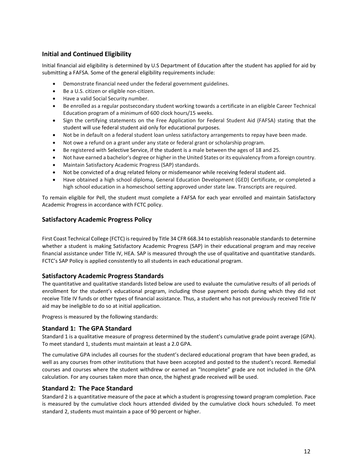# **Initial and Continued Eligibility**

Initial financial aid eligibility is determined by U.S Department of Education after the student has applied for aid by submitting a FAFSA. Some of the general eligibility requirements include:

- Demonstrate financial need under the federal government guidelines.
- Be a U.S. citizen or eligible non-citizen.
- Have a valid Social Security number.
- Be enrolled as a regular postsecondary student working towards a certificate in an eligible Career Technical Education program of a minimum of 600 clock hours/15 weeks.
- Sign the certifying statements on the Free Application for Federal Student Aid (FAFSA) stating that the student will use federal student aid only for educational purposes.
- Not be in default on a federal student loan unless satisfactory arrangements to repay have been made.
- Not owe a refund on a grant under any state or federal grant or scholarship program.
- Be registered with Selective Service, if the student is a male between the ages of 18 and 25.
- Not have earned a bachelor's degree or higher in the United States or its equivalency from a foreign country.
- Maintain Satisfactory Academic Progress (SAP) standards.
- Not be convicted of a drug related felony or misdemeanor while receiving federal student aid.
- Have obtained a high school diploma, General Education Development (GED) Certificate, or completed a high school education in a homeschool setting approved under state law. Transcripts are required.

To remain eligible for Pell, the student must complete a FAFSA for each year enrolled and maintain Satisfactory Academic Progress in accordance with FCTC policy.

# **Satisfactory Academic Progress Policy**

First Coast Technical College (FCTC) is required by Title 34 CFR 668.34 to establish reasonable standards to determine whether a student is making Satisfactory Academic Progress (SAP) in their educational program and may receive financial assistance under Title IV, HEA. SAP is measured through the use of qualitative and quantitative standards. FCTC's SAP Policy is applied consistently to all students in each educational program.

# **Satisfactory Academic Progress Standards**

The quantitative and qualitative standards listed below are used to evaluate the cumulative results of all periods of enrollment for the student's educational program, including those payment periods during which they did not receive Title IV funds or other types of financial assistance. Thus, a student who has not previously received Title IV aid may be ineligible to do so at initial application.

Progress is measured by the following standards:

# **Standard 1: The GPA Standard**

Standard 1 is a qualitative measure of progress determined by the student's cumulative grade point average (GPA). To meet standard 1, students must maintain at least a 2.0 GPA.

The cumulative GPA includes all courses for the student's declared educational program that have been graded, as well as any courses from other institutions that have been accepted and posted to the student's record. Remedial courses and courses where the student withdrew or earned an "Incomplete" grade are not included in the GPA calculation. For any courses taken more than once, the highest grade received will be used.

# **Standard 2: The Pace Standard**

Standard 2 is a quantitative measure of the pace at which a student is progressing toward program completion. Pace is measured by the cumulative clock hours attended divided by the cumulative clock hours scheduled. To meet standard 2, students must maintain a pace of 90 percent or higher.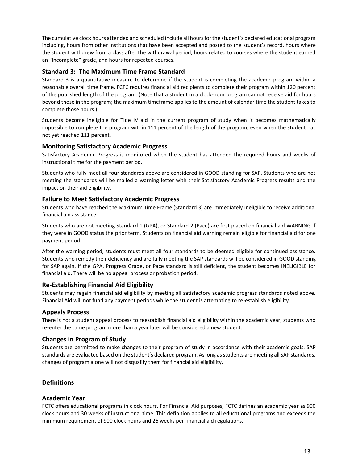The cumulative clock hours attended and scheduled include all hours for the student's declared educational program including, hours from other institutions that have been accepted and posted to the student's record, hours where the student withdrew from a class after the withdrawal period, hours related to courses where the student earned an "Incomplete" grade, and hours for repeated courses.

# **Standard 3: The Maximum Time Frame Standard**

Standard 3 is a quantitative measure to determine if the student is completing the academic program within a reasonable overall time frame. FCTC requires financial aid recipients to complete their program within 120 percent of the published length of the program. (Note that a student in a clock-hour program cannot receive aid for hours beyond those in the program; the maximum timeframe applies to the amount of calendar time the student takes to complete those hours.)

Students become ineligible for Title IV aid in the current program of study when it becomes mathematically impossible to complete the program within 111 percent of the length of the program, even when the student has not yet reached 111 percent.

# **Monitoring Satisfactory Academic Progress**

Satisfactory Academic Progress is monitored when the student has attended the required hours and weeks of instructional time for the payment period.

Students who fully meet all four standards above are considered in GOOD standing for SAP. Students who are not meeting the standards will be mailed a warning letter with their Satisfactory Academic Progress results and the impact on their aid eligibility.

# **Failure to Meet Satisfactory Academic Progress**

Students who have reached the Maximum Time Frame (Standard 3) are immediately ineligible to receive additional financial aid assistance.

Students who are not meeting Standard 1 (GPA), or Standard 2 (Pace) are first placed on financial aid WARNING if they were in GOOD status the prior term. Students on financial aid warning remain eligible for financial aid for one payment period.

After the warning period, students must meet all four standards to be deemed eligible for continued assistance. Students who remedy their deficiency and are fully meeting the SAP standards will be considered in GOOD standing for SAP again. If the GPA, Progress Grade, or Pace standard is still deficient, the student becomes INELIGIBLE for financial aid. There will be no appeal process or probation period.

# **Re-Establishing Financial Aid Eligibility**

Students may regain financial aid eligibility by meeting all satisfactory academic progress standards noted above. Financial Aid will not fund any payment periods while the student is attempting to re-establish eligibility.

# **Appeals Process**

There is not a student appeal process to reestablish financial aid eligibility within the academic year, students who re-enter the same program more than a year later will be considered a new student.

# **Changes in Program of Study**

Students are permitted to make changes to their program of study in accordance with their academic goals. SAP standards are evaluated based on the student's declared program. As long as students are meeting all SAP standards, changes of program alone will not disqualify them for financial aid eligibility.

# **Definitions**

# **Academic Year**

FCTC offers educational programs in clock hours. For Financial Aid purposes, FCTC defines an academic year as 900 clock hours and 30 weeks of instructional time. This definition applies to all educational programs and exceeds the minimum requirement of 900 clock hours and 26 weeks per financial aid regulations.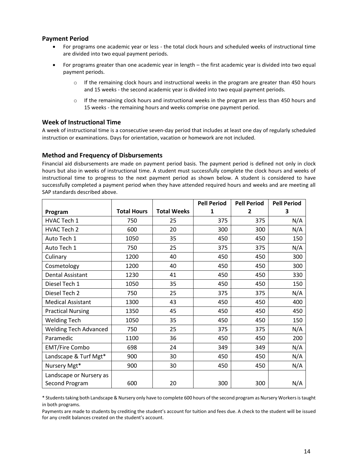# **Payment Period**

- For programs one academic year or less the total clock hours and scheduled weeks of instructional time are divided into two equal payment periods.
- For programs greater than one academic year in length the first academic year is divided into two equal payment periods.
	- $\circ$  If the remaining clock hours and instructional weeks in the program are greater than 450 hours and 15 weeks - the second academic year is divided into two equal payment periods.
	- $\circ$  If the remaining clock hours and instructional weeks in the program are less than 450 hours and 15 weeks - the remaining hours and weeks comprise one payment period.

# **Week of Instructional Time**

A week of instructional time is a consecutive seven-day period that includes at least one day of regularly scheduled instruction or examinations. Days for orientation, vacation or homework are not included.

## **Method and Frequency of Disbursements**

Financial aid disbursements are made on payment period basis. The payment period is defined not only in clock hours but also in weeks of instructional time. A student must successfully complete the clock hours and weeks of instructional time to progress to the next payment period as shown below. A student is considered to have successfully completed a payment period when they have attended required hours and weeks and are meeting all SAP standards described above.

|                              |                    |                    | <b>Pell Period</b> | <b>Pell Period</b> | <b>Pell Period</b> |
|------------------------------|--------------------|--------------------|--------------------|--------------------|--------------------|
| Program                      | <b>Total Hours</b> | <b>Total Weeks</b> | 1                  | 2                  | 3                  |
| HVAC Tech 1                  | 750                | 25                 | 375                | 375                | N/A                |
| HVAC Tech 2                  | 600                | 20                 | 300                | 300                | N/A                |
| Auto Tech 1                  | 1050               | 35                 | 450                | 450                | 150                |
| Auto Tech 1                  | 750                | 25                 | 375                | 375                | N/A                |
| Culinary                     | 1200               | 40                 | 450                | 450                | 300                |
| Cosmetology                  | 1200               | 40                 | 450                | 450                | 300                |
| <b>Dental Assistant</b>      | 1230               | 41                 | 450                | 450                | 330                |
| Diesel Tech 1                | 1050               | 35                 | 450                | 450                | 150                |
| Diesel Tech 2                | 750                | 25                 | 375                | 375                | N/A                |
| <b>Medical Assistant</b>     | 1300               | 43                 | 450                | 450                | 400                |
| <b>Practical Nursing</b>     | 1350               | 45                 | 450                | 450                | 450                |
| <b>Welding Tech</b>          | 1050               | 35                 | 450                | 450                | 150                |
| <b>Welding Tech Advanced</b> | 750                | 25                 | 375                | 375                | N/A                |
| Paramedic                    | 1100               | 36                 | 450                | 450                | 200                |
| <b>EMT/Fire Combo</b>        | 698                | 24                 | 349                | 349                | N/A                |
| Landscape & Turf Mgt*        | 900                | 30                 | 450                | 450                | N/A                |
| Nursery Mgt*                 | 900                | 30                 | 450                | 450                | N/A                |
| Landscape or Nursery as      |                    |                    |                    |                    |                    |
| Second Program               | 600                | 20                 | 300                | 300                | N/A                |

\* Students taking both Landscape & Nursery only have to complete 600 hours of the second program as Nursery Workers is taught in both programs.

Payments are made to students by crediting the student's account for tuition and fees due. A check to the student will be issued for any credit balances created on the student's account.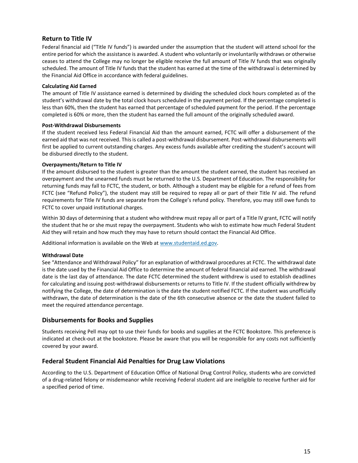# **Return to Title IV**

Federal financial aid ("Title IV funds") is awarded under the assumption that the student will attend school for the entire period for which the assistance is awarded. A student who voluntarily or involuntarily withdraws or otherwise ceases to attend the College may no longer be eligible receive the full amount of Title IV funds that was originally scheduled. The amount of Title IV funds that the student has earned at the time of the withdrawal is determined by the Financial Aid Office in accordance with federal guidelines.

#### **Calculating Aid Earned**

The amount of Title IV assistance earned is determined by dividing the scheduled clock hours completed as of the student's withdrawal date by the total clock hours scheduled in the payment period. If the percentage completed is less than 60%, then the student has earned that percentage of scheduled payment for the period. If the percentage completed is 60% or more, then the student has earned the full amount of the originally scheduled award.

#### **Post-Withdrawal Disbursements**

If the student received less Federal Financial Aid than the amount earned, FCTC will offer a disbursement of the earned aid that was not received. This is called a post-withdrawal disbursement. Post-withdrawal disbursements will first be applied to current outstanding charges. Any excess funds available after crediting the student's account will be disbursed directly to the student.

#### **Overpayments/Return to Title IV**

If the amount disbursed to the student is greater than the amount the student earned, the student has received an overpayment and the unearned funds must be returned to the U.S. Department of Education. The responsibility for returning funds may fall to FCTC, the student, or both. Although a student may be eligible for a refund of fees from FCTC (see "Refund Policy"), the student may still be required to repay all or part of their Title IV aid. The refund requirements for Title IV funds are separate from the College's refund policy. Therefore, you may still owe funds to FCTC to cover unpaid institutional charges.

Within 30 days of determining that a student who withdrew must repay all or part of a Title IV grant, FCTC will notify the student that he or she must repay the overpayment. Students who wish to estimate how much Federal Student Aid they will retain and how much they may have to return should contact the Financial Aid Office.

Additional information is available on the Web at [www.studentaid.ed.gov.](http://www.studentaid.ed.gov/) 

#### **Withdrawal Date**

See "Attendance and Withdrawal Policy" for an explanation of withdrawal procedures at FCTC. The withdrawal date is the date used by the Financial Aid Office to determine the amount of federal financial aid earned. The withdrawal date is the last day of attendance. The date FCTC determined the student withdrew is used to establish deadlines for calculating and issuing post-withdrawal disbursements or returns to Title IV. If the student officially withdrew by notifying the College, the date of determination is the date the student notified FCTC. If the student was unofficially withdrawn, the date of determination is the date of the 6th consecutive absence or the date the student failed to meet the required attendance percentage.

# **Disbursements for Books and Supplies**

Students receiving Pell may opt to use their funds for books and supplies at the FCTC Bookstore. This preference is indicated at check-out at the bookstore. Please be aware that you will be responsible for any costs not sufficiently covered by your award.

# **Federal Student Financial Aid Penalties for Drug Law Violations**

According to the U.S. Department of Education Office of National Drug Control Policy, students who are convicted of a drug-related felony or misdemeanor while receiving Federal student aid are ineligible to receive further aid for a specified period of time.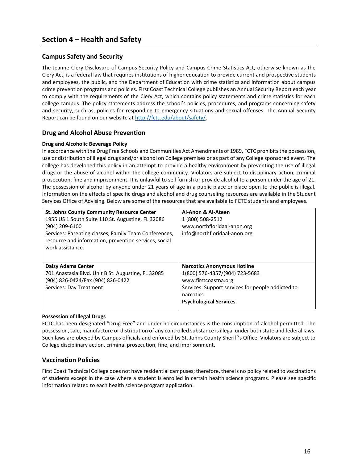# **Campus Safety and Security**

The Jeanne Clery Disclosure of Campus Security Policy and Campus Crime Statistics Act, otherwise known as the Clery Act, is a federal law that requires institutions of higher education to provide current and prospective students and employees, the public, and the Department of Education with crime statistics and information about campus crime prevention programs and policies. First Coast Technical College publishes an Annual Security Report each year to comply with the requirements of the Clery Act, which contains policy statements and crime statistics for each college campus. The policy statements address the school's policies, procedures, and programs concerning safety and security, such as, policies for responding to emergency situations and sexual offenses. The Annual Security Report can be found on our website at [http://fctc.edu/about/safety/.](http://fctc.edu/about/safety/)

# **Drug and Alcohol Abuse Prevention**

## **Drug and Alcoholic Beverage Policy**

In accordance with the Drug Free Schools and Communities Act Amendments of 1989, FCTC prohibits the possession, use or distribution of illegal drugs and/or alcohol on College premises or as part of any College sponsored event. The college has developed this policy in an attempt to provide a healthy environment by preventing the use of illegal drugs or the abuse of alcohol within the college community. Violators are subject to disciplinary action, criminal prosecution, fine and imprisonment. It is unlawful to sell furnish or provide alcohol to a person under the age of 21. The possession of alcohol by anyone under 21 years of age in a public place or place open to the public is illegal. Information on the effects of specific drugs and alcohol and drug counseling resources are available in the Student Services Office of Advising. Below are some of the resources that are available to FCTC students and employees.

| <b>St. Johns County Community Resource Center</b><br>1955 US 1 South Suite 110 St. Augustine, FL 32086<br>(904) 209-6100<br>Services: Parenting classes, Family Team Conferences,<br>resource and information, prevention services, social<br>work assistance. | Al-Anon & Al-Ateen<br>1 (800) 508-2512<br>www.northfloridaal-anon.org<br>info@northfloridaal-anon.org                                                                                           |
|----------------------------------------------------------------------------------------------------------------------------------------------------------------------------------------------------------------------------------------------------------------|-------------------------------------------------------------------------------------------------------------------------------------------------------------------------------------------------|
| <b>Daisy Adams Center</b><br>701 Anastasia Blvd. Unit B St. Augustine, FL 32085<br>(904) 826-0424/Fax (904) 826-0422<br>Services: Day Treatment                                                                                                                | <b>Narcotics Anonymous Hotline</b><br>1(800) 576-4357/(904) 723-5683<br>www.firstcoastna.org<br>Services: Support services for people addicted to<br>narcotics<br><b>Psychological Services</b> |

#### **Possession of Illegal Drugs**

FCTC has been designated "Drug Free" and under no circumstances is the consumption of alcohol permitted. The possession, sale, manufacture or distribution of any controlled substance is illegal under both state and federal laws. Such laws are obeyed by Campus officials and enforced by St. Johns County Sheriff's Office. Violators are subject to College disciplinary action, criminal prosecution, fine, and imprisonment.

# **Vaccination Policies**

First Coast Technical College does not have residential campuses; therefore, there is no policy related to vaccinations of students except in the case where a student is enrolled in certain health science programs. Please see specific information related to each health science program application.